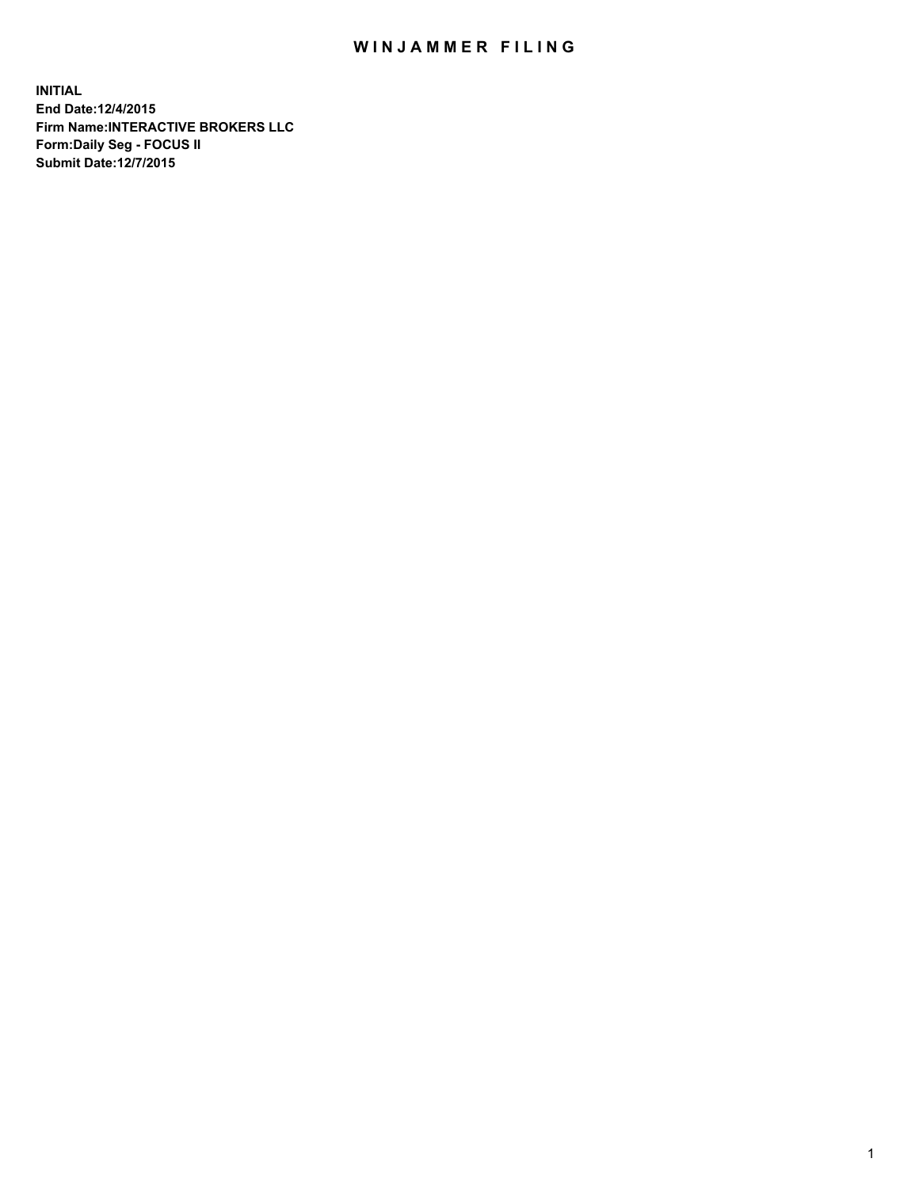## WIN JAMMER FILING

**INITIAL End Date:12/4/2015 Firm Name:INTERACTIVE BROKERS LLC Form:Daily Seg - FOCUS II Submit Date:12/7/2015**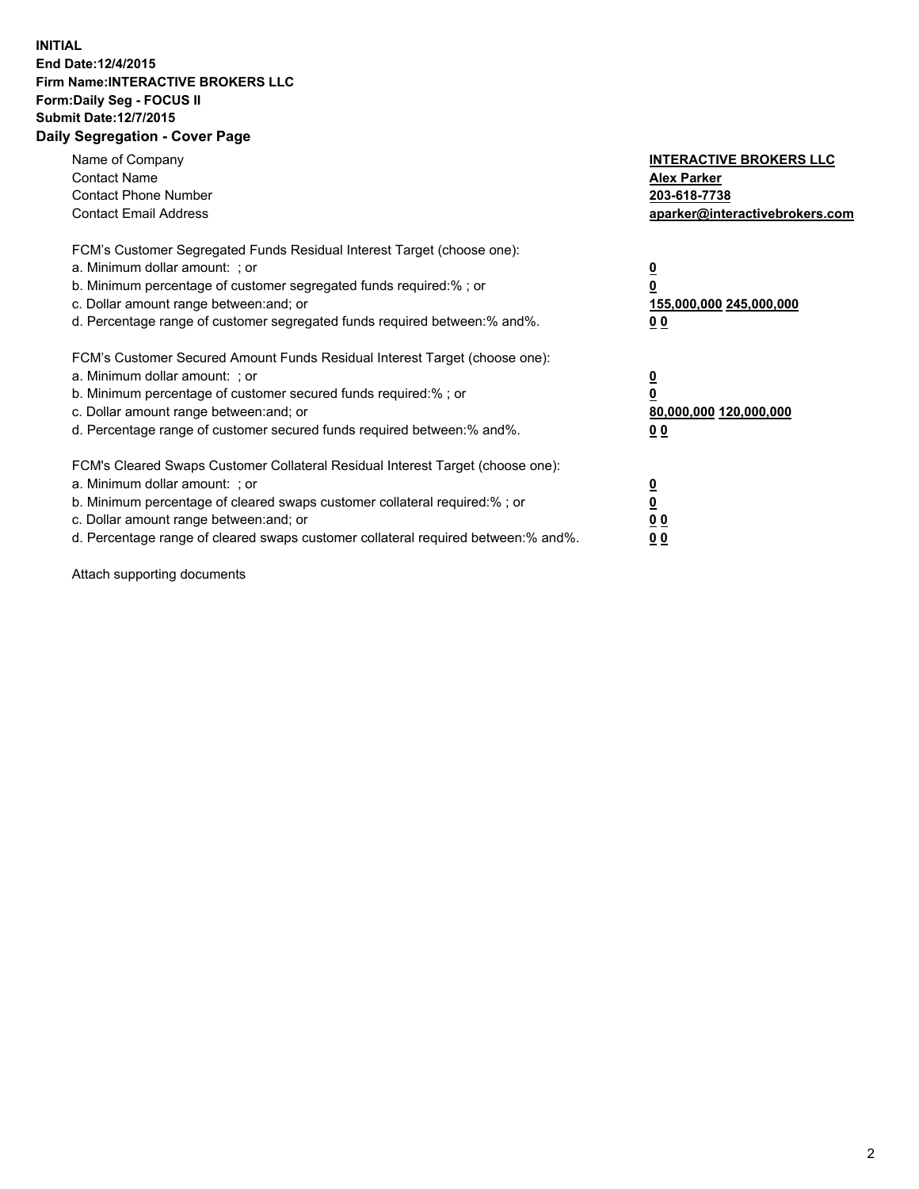## **INITIAL End Date:12/4/2015 Firm Name:INTERACTIVE BROKERS LLC Form:Daily Seg - FOCUS II Submit Date:12/7/2015 Daily Segregation - Cover Page**

| Name of Company<br><b>Contact Name</b><br><b>Contact Phone Number</b><br><b>Contact Email Address</b>                                                                                                                                                                                                                          | <b>INTERACTIVE BROKERS LLC</b><br><b>Alex Parker</b><br>203-618-7738<br>aparker@interactivebrokers.com |
|--------------------------------------------------------------------------------------------------------------------------------------------------------------------------------------------------------------------------------------------------------------------------------------------------------------------------------|--------------------------------------------------------------------------------------------------------|
| FCM's Customer Segregated Funds Residual Interest Target (choose one):<br>a. Minimum dollar amount: ; or<br>b. Minimum percentage of customer segregated funds required:%; or<br>c. Dollar amount range between: and; or<br>d. Percentage range of customer segregated funds required between:% and%.                          | <u>0</u><br>155,000,000 245,000,000<br><u>00</u>                                                       |
| FCM's Customer Secured Amount Funds Residual Interest Target (choose one):<br>a. Minimum dollar amount: ; or<br>b. Minimum percentage of customer secured funds required:%; or<br>c. Dollar amount range between: and; or<br>d. Percentage range of customer secured funds required between:% and%.                            | <u>0</u><br>80,000,000 120,000,000<br><u>00</u>                                                        |
| FCM's Cleared Swaps Customer Collateral Residual Interest Target (choose one):<br>a. Minimum dollar amount: ; or<br>b. Minimum percentage of cleared swaps customer collateral required:% ; or<br>c. Dollar amount range between: and; or<br>d. Percentage range of cleared swaps customer collateral required between:% and%. | <u>0</u><br>0 <sub>0</sub><br>0 <sub>0</sub>                                                           |

Attach supporting documents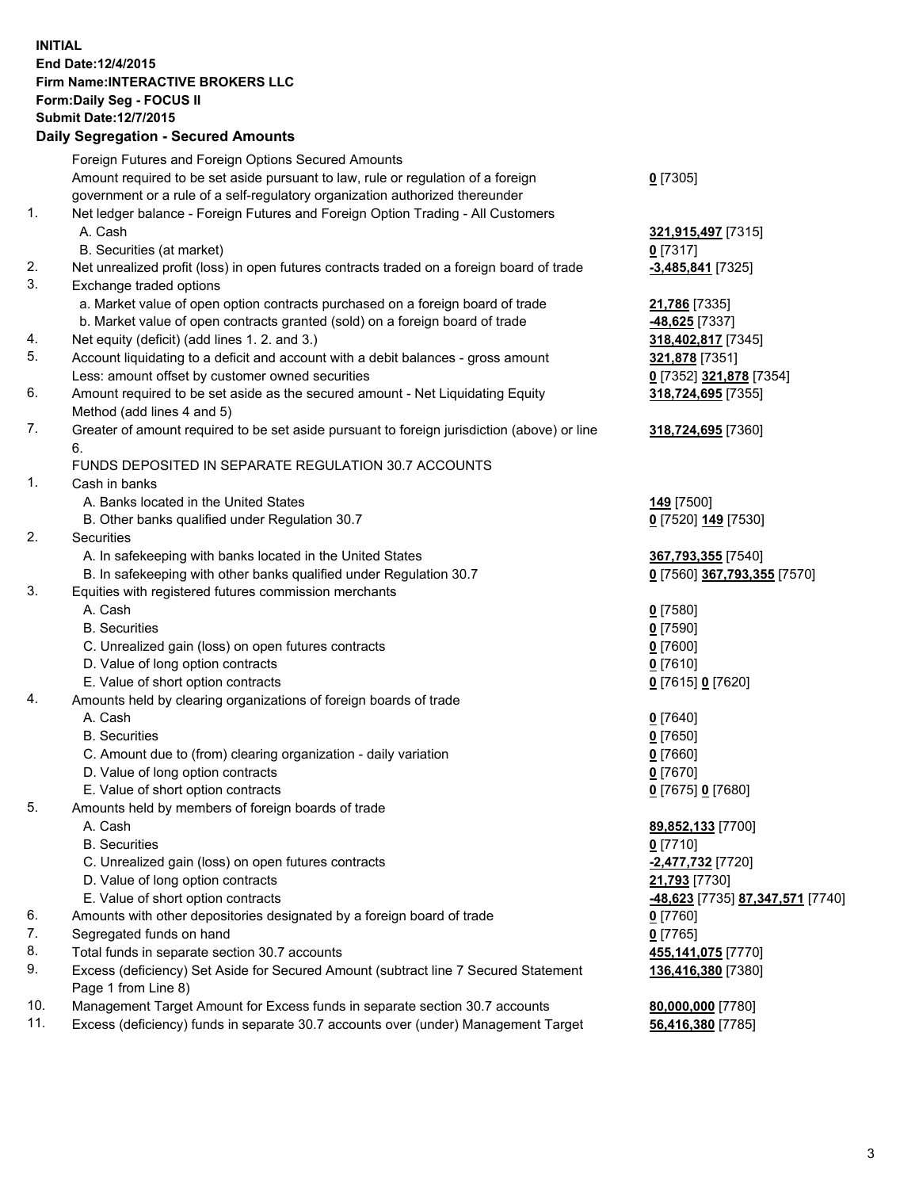## **INITIAL End Date:12/4/2015 Firm Name:INTERACTIVE BROKERS LLC Form:Daily Seg - FOCUS II Submit Date:12/7/2015 Daily Segregation - Secured Amounts**

|     | Dany Ocgregation - Oceanea Annoanta                                                                        |                                  |
|-----|------------------------------------------------------------------------------------------------------------|----------------------------------|
|     | Foreign Futures and Foreign Options Secured Amounts                                                        |                                  |
|     | Amount required to be set aside pursuant to law, rule or regulation of a foreign                           | $0$ [7305]                       |
|     | government or a rule of a self-regulatory organization authorized thereunder                               |                                  |
| 1.  | Net ledger balance - Foreign Futures and Foreign Option Trading - All Customers                            |                                  |
|     | A. Cash                                                                                                    | 321,915,497 [7315]               |
|     | B. Securities (at market)                                                                                  | $0$ [7317]                       |
| 2.  | Net unrealized profit (loss) in open futures contracts traded on a foreign board of trade                  | $-3,485,841$ [7325]              |
| 3.  | Exchange traded options                                                                                    |                                  |
|     | a. Market value of open option contracts purchased on a foreign board of trade                             | 21,786 [7335]                    |
|     | b. Market value of open contracts granted (sold) on a foreign board of trade                               | -48,625 [7337]                   |
| 4.  | Net equity (deficit) (add lines 1.2. and 3.)                                                               | 318,402,817 [7345]               |
| 5.  | Account liquidating to a deficit and account with a debit balances - gross amount                          | 321,878 [7351]                   |
|     | Less: amount offset by customer owned securities                                                           | 0 [7352] 321,878 [7354]          |
| 6.  | Amount required to be set aside as the secured amount - Net Liquidating Equity                             | 318,724,695 [7355]               |
|     | Method (add lines 4 and 5)                                                                                 |                                  |
| 7.  | Greater of amount required to be set aside pursuant to foreign jurisdiction (above) or line                | 318,724,695 [7360]               |
|     | 6.                                                                                                         |                                  |
|     | FUNDS DEPOSITED IN SEPARATE REGULATION 30.7 ACCOUNTS                                                       |                                  |
| 1.  | Cash in banks                                                                                              |                                  |
|     | A. Banks located in the United States                                                                      | 149 <sub>[7500]</sub>            |
|     | B. Other banks qualified under Regulation 30.7                                                             | 0 [7520] 149 [7530]              |
| 2.  | Securities                                                                                                 |                                  |
|     | A. In safekeeping with banks located in the United States                                                  | 367,793,355 [7540]               |
|     | B. In safekeeping with other banks qualified under Regulation 30.7                                         | 0 [7560] 367,793,355 [7570]      |
| 3.  | Equities with registered futures commission merchants                                                      |                                  |
|     | A. Cash                                                                                                    | $0$ [7580]                       |
|     | <b>B.</b> Securities                                                                                       | $0$ [7590]                       |
|     | C. Unrealized gain (loss) on open futures contracts                                                        | $0$ [7600]                       |
|     | D. Value of long option contracts                                                                          | $0$ [7610]                       |
|     | E. Value of short option contracts                                                                         | 0 [7615] 0 [7620]                |
| 4.  | Amounts held by clearing organizations of foreign boards of trade                                          |                                  |
|     | A. Cash                                                                                                    | $0$ [7640]                       |
|     | <b>B.</b> Securities                                                                                       | $0$ [7650]                       |
|     | C. Amount due to (from) clearing organization - daily variation                                            | $0$ [7660]                       |
|     | D. Value of long option contracts                                                                          | $0$ [7670]                       |
|     | E. Value of short option contracts                                                                         | 0 [7675] 0 [7680]                |
| 5.  |                                                                                                            |                                  |
|     | Amounts held by members of foreign boards of trade<br>A. Cash                                              |                                  |
|     |                                                                                                            | 89,852,133 [7700]                |
|     | <b>B.</b> Securities                                                                                       | $0$ [7710]                       |
|     | C. Unrealized gain (loss) on open futures contracts                                                        | -2,477,732 <sup>[7720]</sup>     |
|     | D. Value of long option contracts                                                                          | 21,793 [7730]                    |
|     | E. Value of short option contracts                                                                         | -48,623 [7735] 87,347,571 [7740] |
| 6.  | Amounts with other depositories designated by a foreign board of trade                                     | $0$ [7760]                       |
| 7.  | Segregated funds on hand                                                                                   | $0$ [7765]                       |
| 8.  | Total funds in separate section 30.7 accounts                                                              | 455,141,075 [7770]               |
| 9.  | Excess (deficiency) Set Aside for Secured Amount (subtract line 7 Secured Statement<br>Page 1 from Line 8) | 136,416,380 [7380]               |
| 10. | Management Target Amount for Excess funds in separate section 30.7 accounts                                | 80,000,000 [7780]                |
| 11. | Excess (deficiency) funds in separate 30.7 accounts over (under) Management Target                         | 56,416,380 [7785]                |
|     |                                                                                                            |                                  |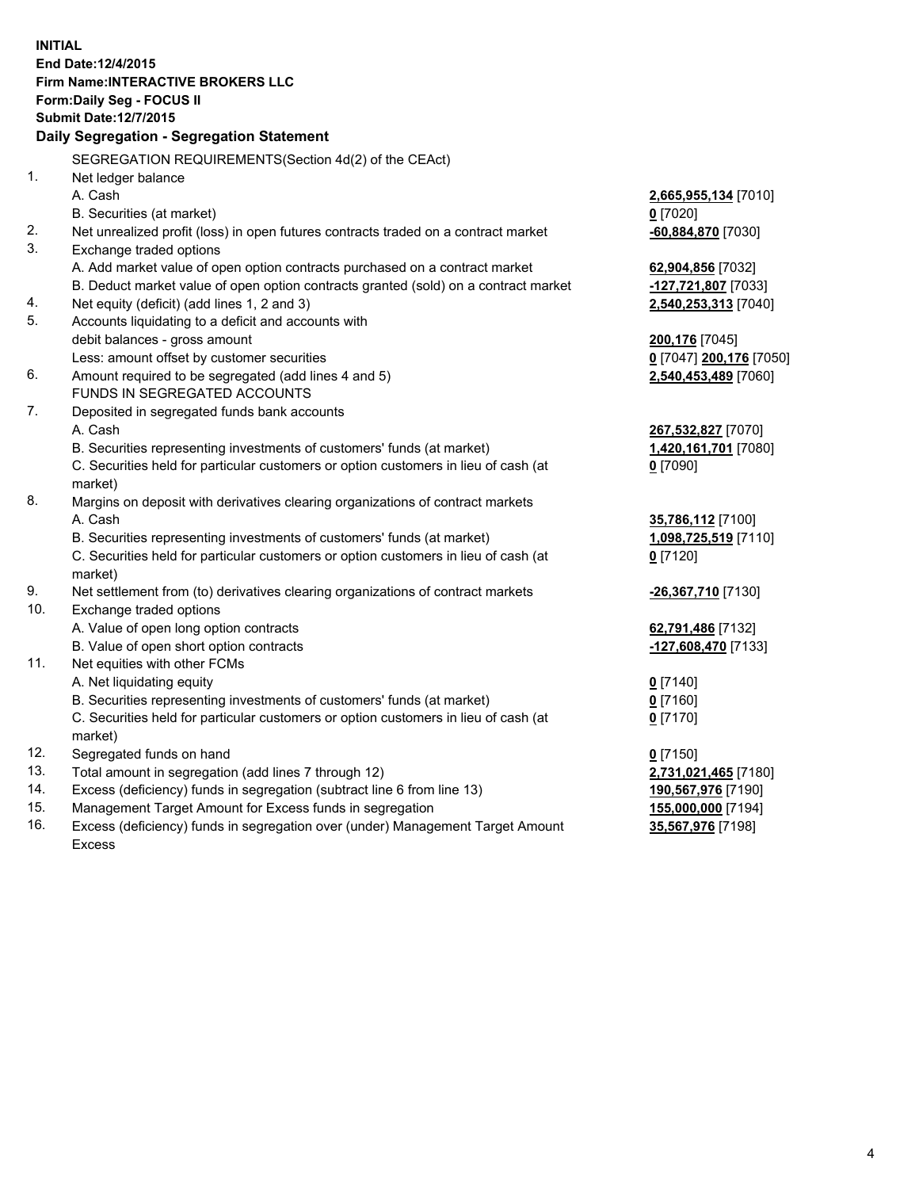**INITIAL End Date:12/4/2015 Firm Name:INTERACTIVE BROKERS LLC Form:Daily Seg - FOCUS II Submit Date:12/7/2015 Daily Segregation - Segregation Statement** SEGREGATION REQUIREMENTS(Section 4d(2) of the CEAct) 1. Net ledger balance A. Cash **2,665,955,134** [7010] B. Securities (at market) **0** [7020] 2. Net unrealized profit (loss) in open futures contracts traded on a contract market **-60,884,870** [7030] 3. Exchange traded options A. Add market value of open option contracts purchased on a contract market **62,904,856** [7032] B. Deduct market value of open option contracts granted (sold) on a contract market **-127,721,807** [7033] 4. Net equity (deficit) (add lines 1, 2 and 3) **2,540,253,313** [7040] 5. Accounts liquidating to a deficit and accounts with debit balances - gross amount **200,176** [7045] Less: amount offset by customer securities **0** [7047] **200,176** [7050] 6. Amount required to be segregated (add lines 4 and 5) **2,540,453,489** [7060] FUNDS IN SEGREGATED ACCOUNTS 7. Deposited in segregated funds bank accounts A. Cash **267,532,827** [7070] B. Securities representing investments of customers' funds (at market) **1,420,161,701** [7080] C. Securities held for particular customers or option customers in lieu of cash (at market) **0** [7090] 8. Margins on deposit with derivatives clearing organizations of contract markets A. Cash **35,786,112** [7100] B. Securities representing investments of customers' funds (at market) **1,098,725,519** [7110] C. Securities held for particular customers or option customers in lieu of cash (at market) **0** [7120] 9. Net settlement from (to) derivatives clearing organizations of contract markets **-26,367,710** [7130] 10. Exchange traded options A. Value of open long option contracts **62,791,486** [7132] B. Value of open short option contracts **-127,608,470** [7133] 11. Net equities with other FCMs A. Net liquidating equity **0** [7140] B. Securities representing investments of customers' funds (at market) **0** [7160] C. Securities held for particular customers or option customers in lieu of cash (at market) **0** [7170] 12. Segregated funds on hand **0** [7150] 13. Total amount in segregation (add lines 7 through 12) **2,731,021,465** [7180] 14. Excess (deficiency) funds in segregation (subtract line 6 from line 13) **190,567,976** [7190] 15. Management Target Amount for Excess funds in segregation **155,000,000** [7194] **35,567,976** [7198]

16. Excess (deficiency) funds in segregation over (under) Management Target Amount Excess